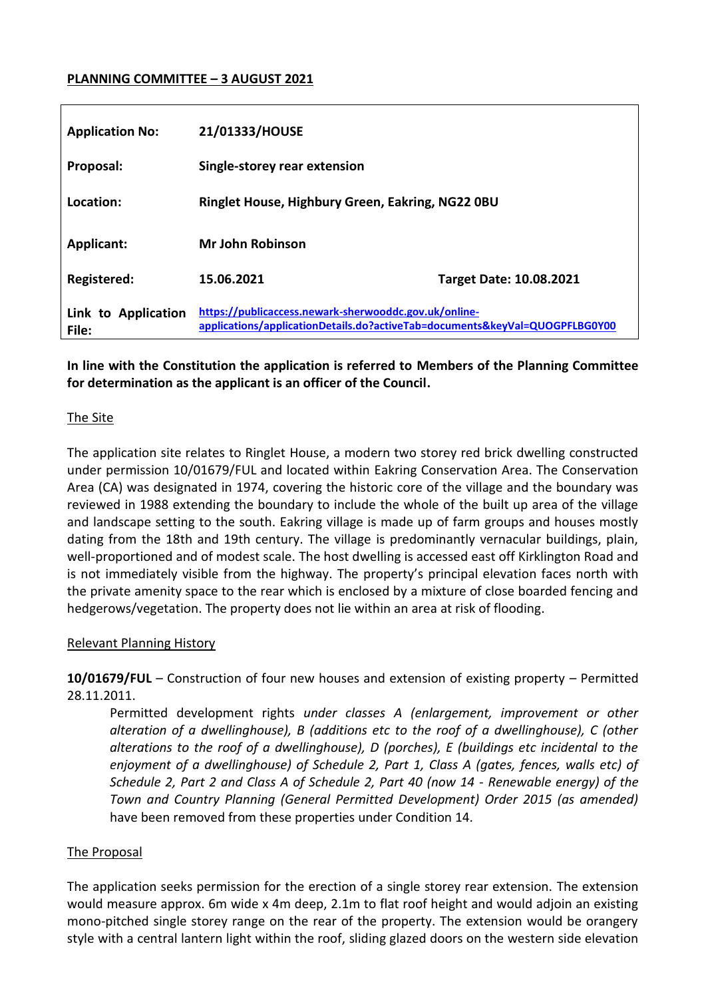## **PLANNING COMMITTEE – 3 AUGUST 2021**

| <b>Application No:</b>       | 21/01333/HOUSE                                                                                                                       |                                |
|------------------------------|--------------------------------------------------------------------------------------------------------------------------------------|--------------------------------|
| Proposal:                    | Single-storey rear extension                                                                                                         |                                |
| Location:                    | Ringlet House, Highbury Green, Eakring, NG22 0BU                                                                                     |                                |
| <b>Applicant:</b>            | <b>Mr John Robinson</b>                                                                                                              |                                |
| <b>Registered:</b>           | 15.06.2021                                                                                                                           | <b>Target Date: 10.08.2021</b> |
| Link to Application<br>File: | https://publicaccess.newark-sherwooddc.gov.uk/online-<br>applications/applicationDetails.do?activeTab=documents&keyVal=QUOGPFLBG0Y00 |                                |

## **In line with the Constitution the application is referred to Members of the Planning Committee for determination as the applicant is an officer of the Council.**

#### The Site

The application site relates to Ringlet House, a modern two storey red brick dwelling constructed under permission 10/01679/FUL and located within Eakring Conservation Area. The Conservation Area (CA) was designated in 1974, covering the historic core of the village and the boundary was reviewed in 1988 extending the boundary to include the whole of the built up area of the village and landscape setting to the south. Eakring village is made up of farm groups and houses mostly dating from the 18th and 19th century. The village is predominantly vernacular buildings, plain, well-proportioned and of modest scale. The host dwelling is accessed east off Kirklington Road and is not immediately visible from the highway. The property's principal elevation faces north with the private amenity space to the rear which is enclosed by a mixture of close boarded fencing and hedgerows/vegetation. The property does not lie within an area at risk of flooding.

#### Relevant Planning History

**10/01679/FUL** – Construction of four new houses and extension of existing property – Permitted 28.11.2011.

Permitted development rights *under classes A (enlargement, improvement or other alteration of a dwellinghouse), B (additions etc to the roof of a dwellinghouse), C (other alterations to the roof of a dwellinghouse), D (porches), E (buildings etc incidental to the enjoyment of a dwellinghouse) of Schedule 2, Part 1, Class A (gates, fences, walls etc) of Schedule 2, Part 2 and Class A of Schedule 2, Part 40 (now 14 - Renewable energy) of the Town and Country Planning (General Permitted Development) Order 2015 (as amended)*  have been removed from these properties under Condition 14*.* 

#### The Proposal

The application seeks permission for the erection of a single storey rear extension. The extension would measure approx. 6m wide x 4m deep, 2.1m to flat roof height and would adjoin an existing mono-pitched single storey range on the rear of the property. The extension would be orangery style with a central lantern light within the roof, sliding glazed doors on the western side elevation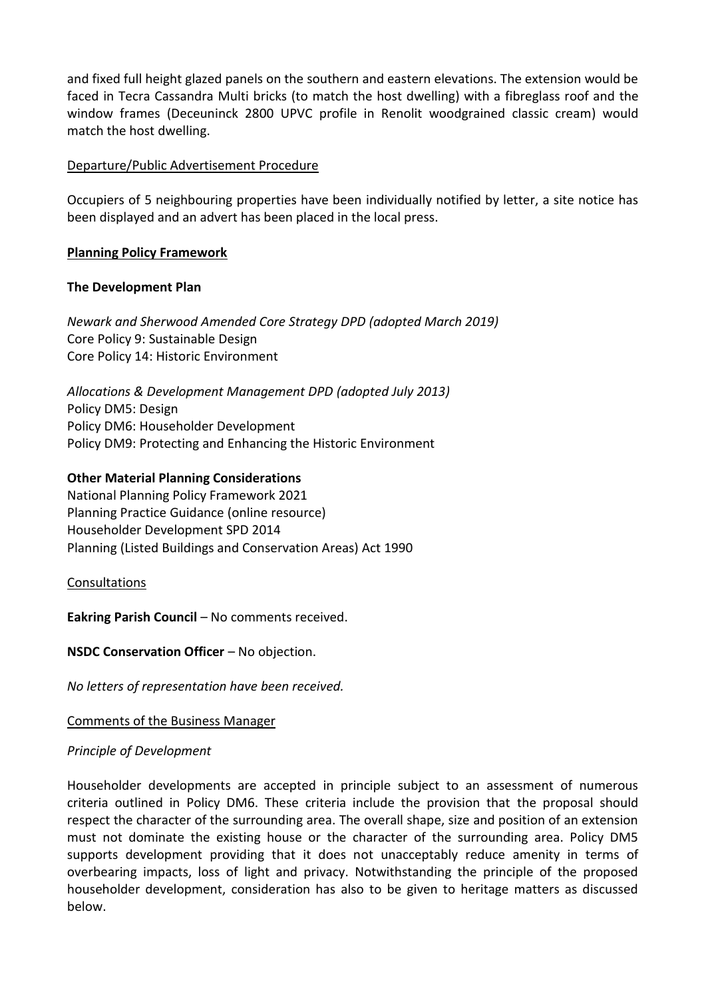and fixed full height glazed panels on the southern and eastern elevations. The extension would be faced in Tecra Cassandra Multi bricks (to match the host dwelling) with a fibreglass roof and the window frames (Deceuninck 2800 UPVC profile in Renolit woodgrained classic cream) would match the host dwelling.

#### Departure/Public Advertisement Procedure

Occupiers of 5 neighbouring properties have been individually notified by letter, a site notice has been displayed and an advert has been placed in the local press.

## **Planning Policy Framework**

## **The Development Plan**

*Newark and Sherwood Amended Core Strategy DPD (adopted March 2019)* Core Policy 9: Sustainable Design Core Policy 14: Historic Environment

*Allocations & Development Management DPD (adopted July 2013)* Policy DM5: Design Policy DM6: Householder Development Policy DM9: Protecting and Enhancing the Historic Environment

## **Other Material Planning Considerations**

National Planning Policy Framework 2021 Planning Practice Guidance (online resource) Householder Development SPD 2014 Planning (Listed Buildings and Conservation Areas) Act 1990

**Consultations** 

**Eakring Parish Council** – No comments received.

# **NSDC Conservation Officer - No objection.**

*No letters of representation have been received.*

#### Comments of the Business Manager

#### *Principle of Development*

Householder developments are accepted in principle subject to an assessment of numerous criteria outlined in Policy DM6. These criteria include the provision that the proposal should respect the character of the surrounding area. The overall shape, size and position of an extension must not dominate the existing house or the character of the surrounding area. Policy DM5 supports development providing that it does not unacceptably reduce amenity in terms of overbearing impacts, loss of light and privacy. Notwithstanding the principle of the proposed householder development, consideration has also to be given to heritage matters as discussed below.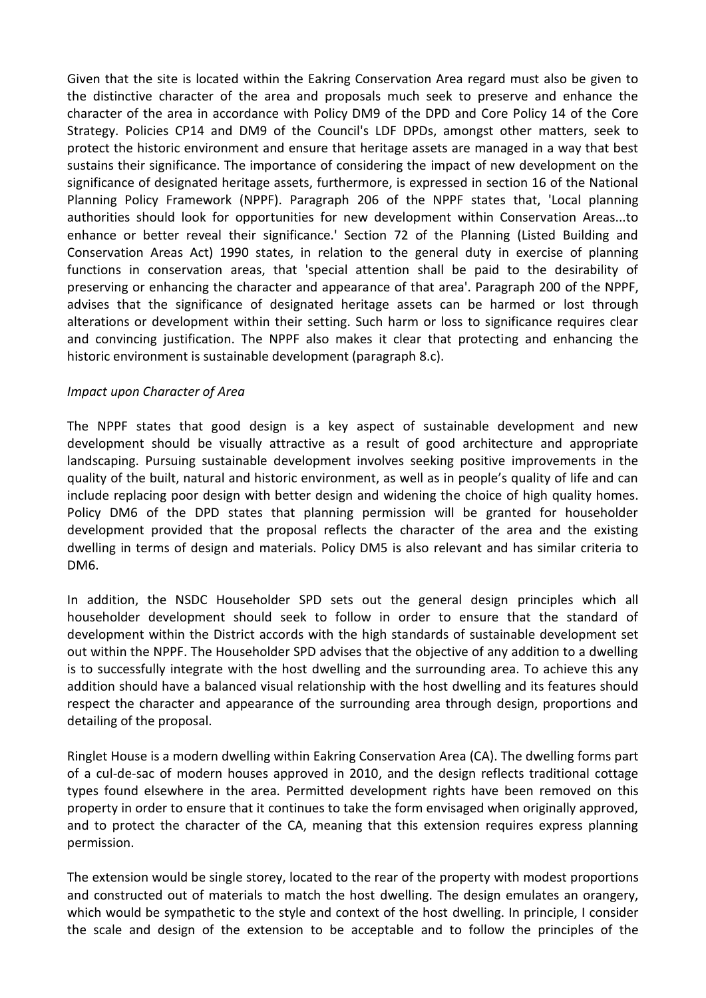Given that the site is located within the Eakring Conservation Area regard must also be given to the distinctive character of the area and proposals much seek to preserve and enhance the character of the area in accordance with Policy DM9 of the DPD and Core Policy 14 of the Core Strategy. Policies CP14 and DM9 of the Council's LDF DPDs, amongst other matters, seek to protect the historic environment and ensure that heritage assets are managed in a way that best sustains their significance. The importance of considering the impact of new development on the significance of designated heritage assets, furthermore, is expressed in section 16 of the National Planning Policy Framework (NPPF). Paragraph 206 of the NPPF states that, 'Local planning authorities should look for opportunities for new development within Conservation Areas...to enhance or better reveal their significance.' Section 72 of the Planning (Listed Building and Conservation Areas Act) 1990 states, in relation to the general duty in exercise of planning functions in conservation areas, that 'special attention shall be paid to the desirability of preserving or enhancing the character and appearance of that area'. Paragraph 200 of the NPPF, advises that the significance of designated heritage assets can be harmed or lost through alterations or development within their setting. Such harm or loss to significance requires clear and convincing justification. The NPPF also makes it clear that protecting and enhancing the historic environment is sustainable development (paragraph 8.c).

## *Impact upon Character of Area*

The NPPF states that good design is a key aspect of sustainable development and new development should be visually attractive as a result of good architecture and appropriate landscaping. Pursuing sustainable development involves seeking positive improvements in the quality of the built, natural and historic environment, as well as in people's quality of life and can include replacing poor design with better design and widening the choice of high quality homes. Policy DM6 of the DPD states that planning permission will be granted for householder development provided that the proposal reflects the character of the area and the existing dwelling in terms of design and materials. Policy DM5 is also relevant and has similar criteria to DM6.

In addition, the NSDC Householder SPD sets out the general design principles which all householder development should seek to follow in order to ensure that the standard of development within the District accords with the high standards of sustainable development set out within the NPPF. The Householder SPD advises that the objective of any addition to a dwelling is to successfully integrate with the host dwelling and the surrounding area. To achieve this any addition should have a balanced visual relationship with the host dwelling and its features should respect the character and appearance of the surrounding area through design, proportions and detailing of the proposal.

Ringlet House is a modern dwelling within Eakring Conservation Area (CA). The dwelling forms part of a cul-de-sac of modern houses approved in 2010, and the design reflects traditional cottage types found elsewhere in the area. Permitted development rights have been removed on this property in order to ensure that it continues to take the form envisaged when originally approved, and to protect the character of the CA, meaning that this extension requires express planning permission.

The extension would be single storey, located to the rear of the property with modest proportions and constructed out of materials to match the host dwelling. The design emulates an orangery, which would be sympathetic to the style and context of the host dwelling. In principle, I consider the scale and design of the extension to be acceptable and to follow the principles of the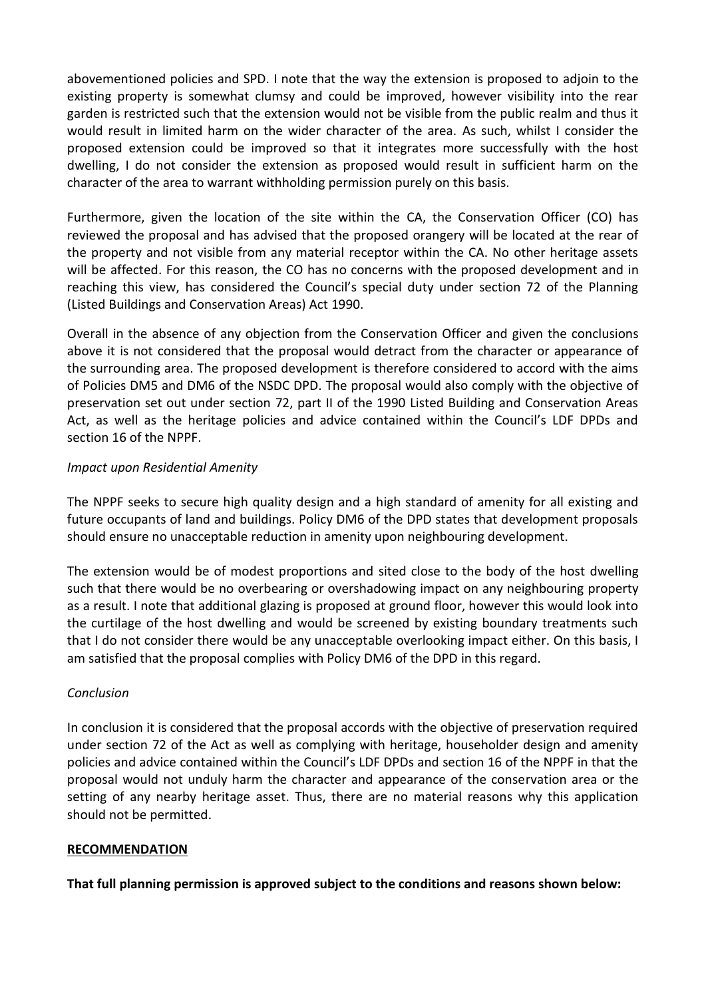abovementioned policies and SPD. I note that the way the extension is proposed to adjoin to the existing property is somewhat clumsy and could be improved, however visibility into the rear garden is restricted such that the extension would not be visible from the public realm and thus it would result in limited harm on the wider character of the area. As such, whilst I consider the proposed extension could be improved so that it integrates more successfully with the host dwelling, I do not consider the extension as proposed would result in sufficient harm on the character of the area to warrant withholding permission purely on this basis.

Furthermore, given the location of the site within the CA, the Conservation Officer (CO) has reviewed the proposal and has advised that the proposed orangery will be located at the rear of the property and not visible from any material receptor within the CA. No other heritage assets will be affected. For this reason, the CO has no concerns with the proposed development and in reaching this view, has considered the Council's special duty under section 72 of the Planning (Listed Buildings and Conservation Areas) Act 1990.

Overall in the absence of any objection from the Conservation Officer and given the conclusions above it is not considered that the proposal would detract from the character or appearance of the surrounding area. The proposed development is therefore considered to accord with the aims of Policies DM5 and DM6 of the NSDC DPD. The proposal would also comply with the objective of preservation set out under section 72, part II of the 1990 Listed Building and Conservation Areas Act, as well as the heritage policies and advice contained within the Council's LDF DPDs and section 16 of the NPPF.

## *Impact upon Residential Amenity*

The NPPF seeks to secure high quality design and a high standard of amenity for all existing and future occupants of land and buildings. Policy DM6 of the DPD states that development proposals should ensure no unacceptable reduction in amenity upon neighbouring development.

The extension would be of modest proportions and sited close to the body of the host dwelling such that there would be no overbearing or overshadowing impact on any neighbouring property as a result. I note that additional glazing is proposed at ground floor, however this would look into the curtilage of the host dwelling and would be screened by existing boundary treatments such that I do not consider there would be any unacceptable overlooking impact either. On this basis, I am satisfied that the proposal complies with Policy DM6 of the DPD in this regard.

# *Conclusion*

In conclusion it is considered that the proposal accords with the objective of preservation required under section 72 of the Act as well as complying with heritage, householder design and amenity policies and advice contained within the Council's LDF DPDs and section 16 of the NPPF in that the proposal would not unduly harm the character and appearance of the conservation area or the setting of any nearby heritage asset. Thus, there are no material reasons why this application should not be permitted.

#### **RECOMMENDATION**

**That full planning permission is approved subject to the conditions and reasons shown below:**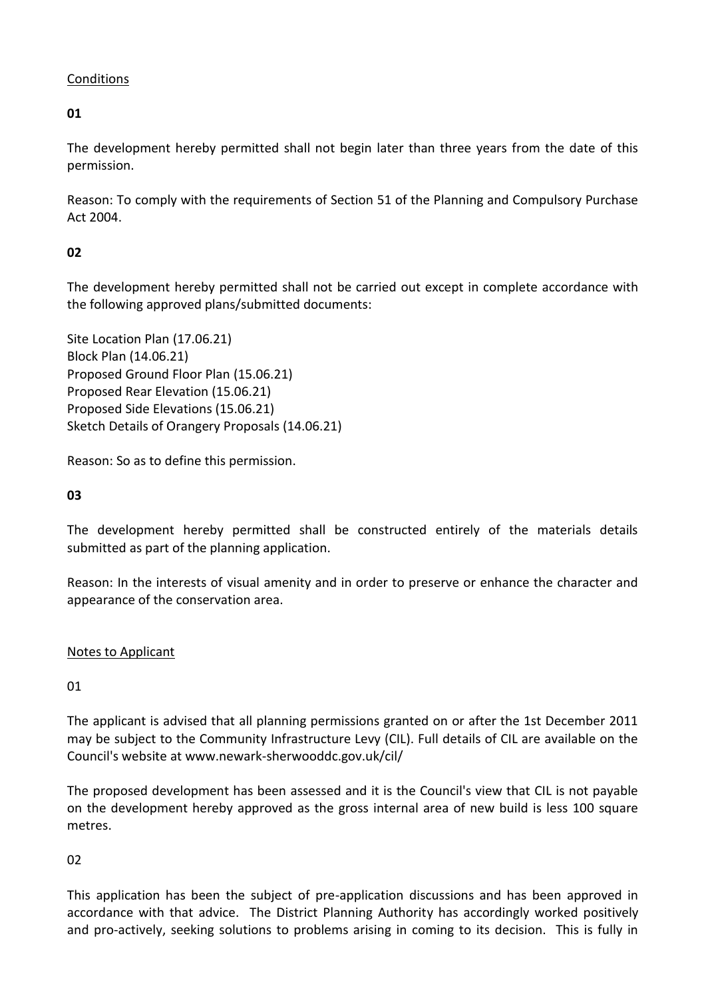# **Conditions**

**01**

The development hereby permitted shall not begin later than three years from the date of this permission.

Reason: To comply with the requirements of Section 51 of the Planning and Compulsory Purchase Act 2004.

# **02**

The development hereby permitted shall not be carried out except in complete accordance with the following approved plans/submitted documents:

Site Location Plan (17.06.21) Block Plan (14.06.21) Proposed Ground Floor Plan (15.06.21) Proposed Rear Elevation (15.06.21) Proposed Side Elevations (15.06.21) Sketch Details of Orangery Proposals (14.06.21)

Reason: So as to define this permission.

# **03**

The development hereby permitted shall be constructed entirely of the materials details submitted as part of the planning application.

Reason: In the interests of visual amenity and in order to preserve or enhance the character and appearance of the conservation area.

# Notes to Applicant

01

The applicant is advised that all planning permissions granted on or after the 1st December 2011 may be subject to the Community Infrastructure Levy (CIL). Full details of CIL are available on the Council's website at www.newark-sherwooddc.gov.uk/cil/

The proposed development has been assessed and it is the Council's view that CIL is not payable on the development hereby approved as the gross internal area of new build is less 100 square metres.

02

This application has been the subject of pre-application discussions and has been approved in accordance with that advice. The District Planning Authority has accordingly worked positively and pro-actively, seeking solutions to problems arising in coming to its decision. This is fully in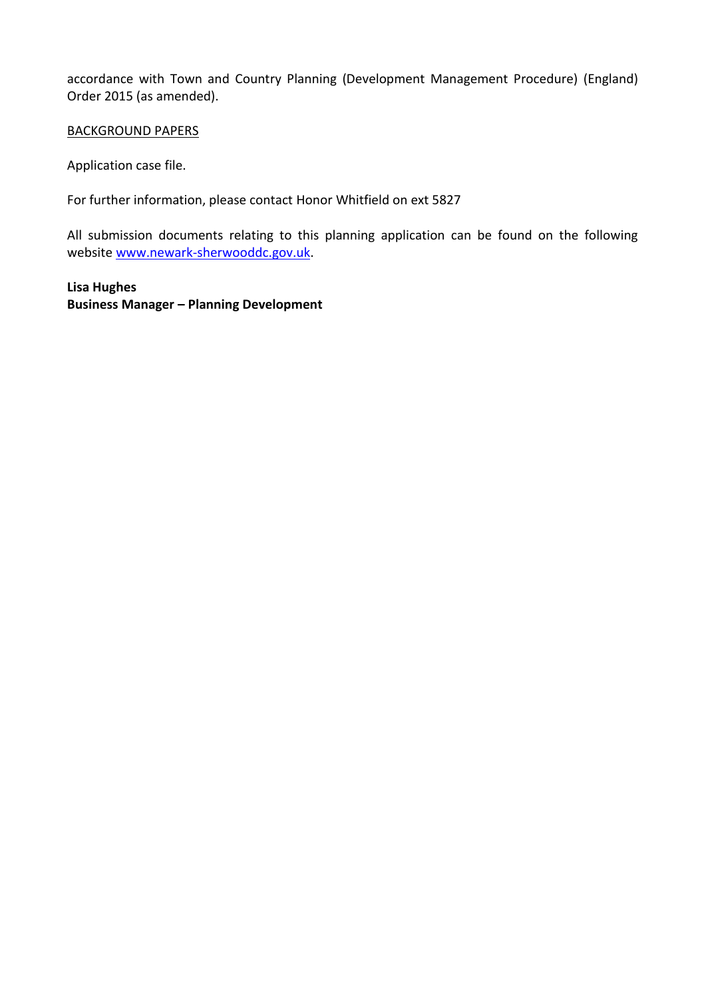accordance with Town and Country Planning (Development Management Procedure) (England) Order 2015 (as amended).

#### BACKGROUND PAPERS

Application case file.

For further information, please contact Honor Whitfield on ext 5827

All submission documents relating to this planning application can be found on the following websit[e www.newark-sherwooddc.gov.uk.](http://www.newark-sherwooddc.gov.uk/)

**Lisa Hughes Business Manager – Planning Development**